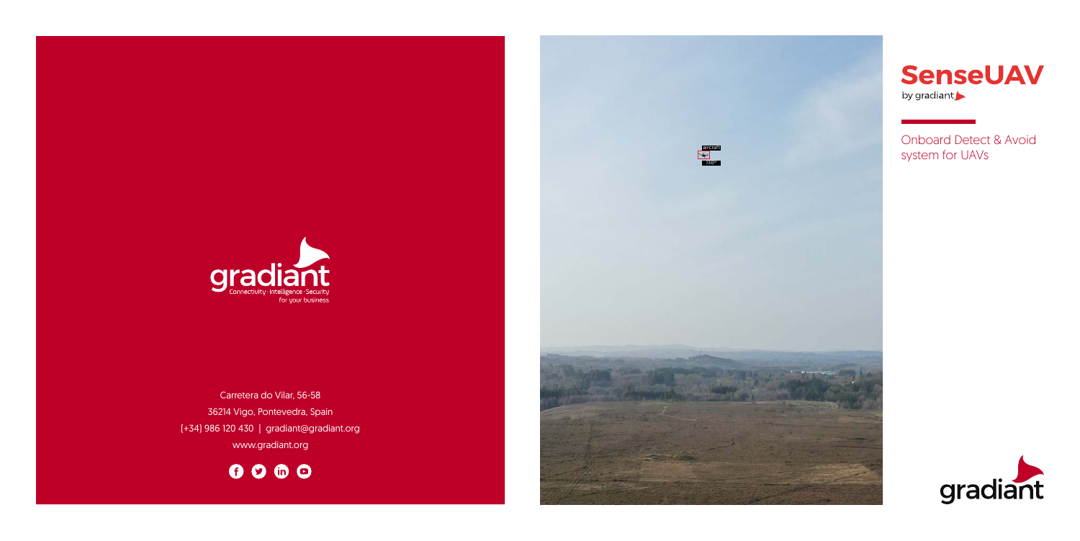

**SenseUAV** by gradiant

Onboard Detect & Avoid system for UAVs